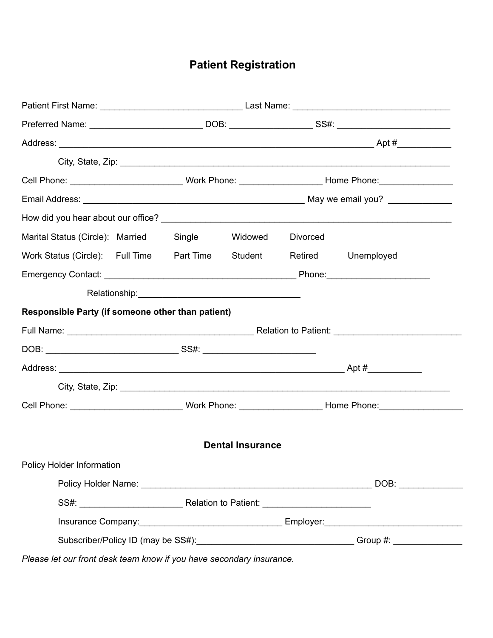# **Patient Registration**

|  |  | <b>Divorced</b>                                                                                      |                                                                                                                                                                                                                                                                                                         |
|--|--|------------------------------------------------------------------------------------------------------|---------------------------------------------------------------------------------------------------------------------------------------------------------------------------------------------------------------------------------------------------------------------------------------------------------|
|  |  |                                                                                                      | Retired Unemployed                                                                                                                                                                                                                                                                                      |
|  |  |                                                                                                      |                                                                                                                                                                                                                                                                                                         |
|  |  |                                                                                                      |                                                                                                                                                                                                                                                                                                         |
|  |  |                                                                                                      |                                                                                                                                                                                                                                                                                                         |
|  |  |                                                                                                      |                                                                                                                                                                                                                                                                                                         |
|  |  |                                                                                                      |                                                                                                                                                                                                                                                                                                         |
|  |  |                                                                                                      |                                                                                                                                                                                                                                                                                                         |
|  |  |                                                                                                      |                                                                                                                                                                                                                                                                                                         |
|  |  |                                                                                                      |                                                                                                                                                                                                                                                                                                         |
|  |  |                                                                                                      |                                                                                                                                                                                                                                                                                                         |
|  |  |                                                                                                      |                                                                                                                                                                                                                                                                                                         |
|  |  |                                                                                                      |                                                                                                                                                                                                                                                                                                         |
|  |  |                                                                                                      |                                                                                                                                                                                                                                                                                                         |
|  |  |                                                                                                      |                                                                                                                                                                                                                                                                                                         |
|  |  |                                                                                                      |                                                                                                                                                                                                                                                                                                         |
|  |  |                                                                                                      |                                                                                                                                                                                                                                                                                                         |
|  |  | Marital Status (Circle): Married Single Widowed<br>Responsible Party (if someone other than patient) | Cell Phone: _______________________________Work Phone: _________________________ Home Phone: _________________<br>Work Status (Circle): Full Time  Part Time  Student<br><b>Dental Insurance</b><br>Subscriber/Policy ID (may be SS#): __________________________________Group #: _____________________ |

*Please let our front desk team know if you have secondary insurance.*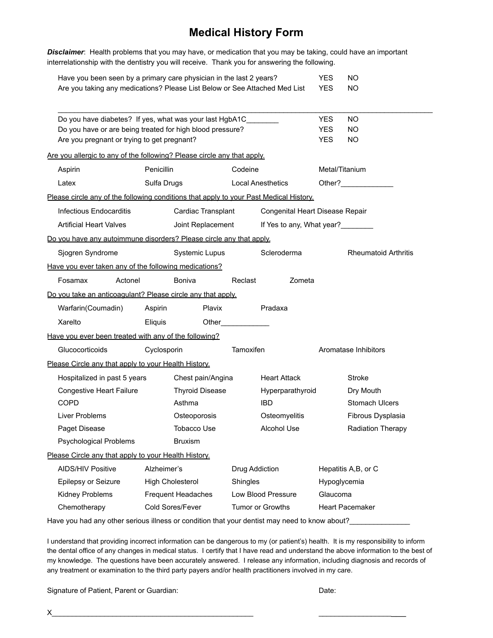## **Medical History Form**

*Disclaimer*: Health problems that you may have, or medication that you may be taking, could have an important interrelationship with the dentistry you will receive. Thank you for answering the following.

| Have you been seen by a primary care physician in the last 2 years?        | YFS. | NO. |
|----------------------------------------------------------------------------|------|-----|
| Are you taking any medications? Please List Below or See Attached Med List | YFS. | NO. |

| Do you have diabetes? If yes, what was your last HgbA1C______                          |             |                           |                |                                 | <b>YES</b>     | NO                          |
|----------------------------------------------------------------------------------------|-------------|---------------------------|----------------|---------------------------------|----------------|-----------------------------|
| Do you have or are being treated for high blood pressure?                              |             |                           |                |                                 | YES.           | NO                          |
| Are you pregnant or trying to get pregnant?                                            |             |                           |                |                                 | <b>YES</b>     | NO                          |
| Are you allergic to any of the following? Please circle any that apply.                |             |                           |                |                                 |                |                             |
| Aspirin                                                                                | Penicillin  |                           | Codeine        |                                 | Metal/Titanium |                             |
| Latex                                                                                  | Sulfa Drugs |                           |                | <b>Local Anesthetics</b>        |                |                             |
| Please circle any of the following conditions that apply to your Past Medical History. |             |                           |                |                                 |                |                             |
| Infectious Endocarditis                                                                |             | Cardiac Transplant        |                | Congenital Heart Disease Repair |                |                             |
| <b>Artificial Heart Valves</b>                                                         |             | Joint Replacement         |                | If Yes to any, What year?       |                |                             |
| Do you have any autoimmune disorders? Please circle any that apply.                    |             |                           |                |                                 |                |                             |
| Sjogren Syndrome                                                                       |             | Systemic Lupus            |                | Scleroderma                     |                | <b>Rheumatoid Arthritis</b> |
| Have you ever taken any of the following medications?                                  |             |                           |                |                                 |                |                             |
| Fosamax<br>Actonel                                                                     |             | Boniva                    | Reclast        | Zometa                          |                |                             |
| Do you take an anticoagulant? Please circle any that apply.                            |             |                           |                |                                 |                |                             |
| Warfarin(Coumadin)                                                                     | Aspirin     | Plavix                    |                | Pradaxa                         |                |                             |
| Xarelto                                                                                | Eliquis     |                           |                |                                 |                |                             |
| Have you ever been treated with any of the following?                                  |             |                           |                |                                 |                |                             |
| Glucocorticoids                                                                        | Cyclosporin |                           | Tamoxifen      |                                 |                | Aromatase Inhibitors        |
| Please Circle any that apply to your Health History.                                   |             |                           |                |                                 |                |                             |
| Hospitalized in past 5 years                                                           |             | Chest pain/Angina         |                | <b>Heart Attack</b>             |                | Stroke                      |
| Congestive Heart Failure                                                               |             | <b>Thyroid Disease</b>    |                | Hyperparathyroid                |                | Dry Mouth                   |
| <b>COPD</b>                                                                            |             | Asthma                    |                | <b>IBD</b>                      |                | <b>Stomach Ulcers</b>       |
| Liver Problems                                                                         |             | Osteoporosis              |                | Osteomyelitis                   |                | Fibrous Dysplasia           |
| Paget Disease                                                                          |             | <b>Tobacco Use</b>        |                | Alcohol Use                     |                | Radiation Therapy           |
| Psychological Problems                                                                 |             | <b>Bruxism</b>            |                |                                 |                |                             |
| Please Circle any that apply to your Health History.                                   |             |                           |                |                                 |                |                             |
| <b>AIDS/HIV Positive</b>                                                               | Alzheimer's |                           | Drug Addiction |                                 |                | Hepatitis A,B, or C         |
| Epilepsy or Seizure                                                                    |             | <b>High Cholesterol</b>   | Shingles       |                                 | Hypoglycemia   |                             |
| Kidney Problems                                                                        |             | <b>Frequent Headaches</b> |                | Low Blood Pressure              | Glaucoma       |                             |
| Chemotherapy                                                                           |             | Cold Sores/Fever          |                | Tumor or Growths                |                | <b>Heart Pacemaker</b>      |
|                                                                                        |             |                           |                |                                 |                |                             |

Have you had any other serious illness or condition that your dentist may need to know about?\_\_\_\_\_\_\_\_\_\_\_\_\_\_\_\_\_

I understand that providing incorrect information can be dangerous to my (or patient's) health. It is my responsibility to inform the dental office of any changes in medical status. I certify that I have read and understand the above information to the best of my knowledge. The questions have been accurately answered. I release any information, including diagnosis and records of any treatment or examination to the third party payers and/or health practitioners involved in my care.

Signature of Patient, Parent or Guardian: Date: Date: Date:

 $X_\_$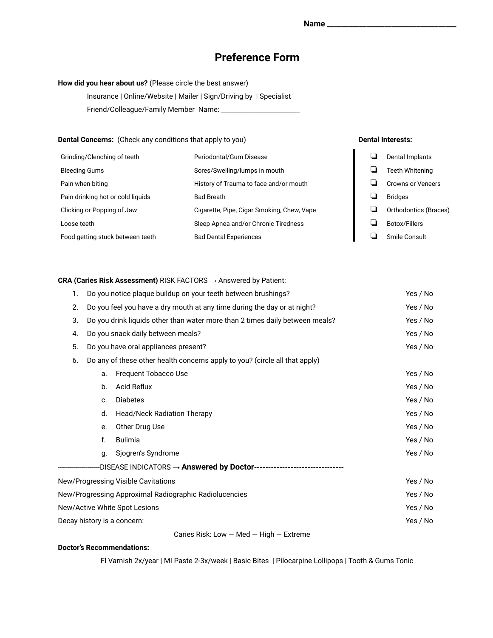### **Preference Form**

#### **How did you hear about us?** (Please circle the best answer)

Insurance | Online/Website | Mailer | Sign/Driving by | Specialist Friend/Colleague/Family Member Name: \_\_\_\_\_\_\_\_\_\_\_\_\_\_\_\_\_\_\_\_\_\_\_\_

#### **Dental Concerns:** (Check any conditions that apply to you) **Dental Interests:**

| Grinding/Clenching of teeth       | Periodontal/Gum Disease                    | Dental Implants          |
|-----------------------------------|--------------------------------------------|--------------------------|
| <b>Bleeding Gums</b>              | Sores/Swelling/lumps in mouth              | <b>Teeth Whitening</b>   |
| Pain when biting                  | History of Trauma to face and/or mouth     | <b>Crowns or Veneers</b> |
| Pain drinking hot or cold liquids | <b>Bad Breath</b>                          | <b>Bridges</b>           |
| Clicking or Popping of Jaw        | Cigarette, Pipe, Cigar Smoking, Chew, Vape | Orthodontics (Braces)    |
| Loose teeth                       | Sleep Apnea and/or Chronic Tiredness       | Botox/Fillers            |
| Food getting stuck between teeth  | <b>Bad Dental Experiences</b>              | Smile Consult            |

**CRA (Caries Risk Assessment)** RISK FACTORS → Answered by Patient:

| 1. |                                                                                          | Do you notice plaque buildup on your teeth between brushings? | Yes / No |
|----|------------------------------------------------------------------------------------------|---------------------------------------------------------------|----------|
| 2. | Do you feel you have a dry mouth at any time during the day or at night?<br>Yes / No     |                                                               |          |
| 3. | Do you drink liquids other than water more than 2 times daily between meals?<br>Yes / No |                                                               |          |
| 4. |                                                                                          | Do you snack daily between meals?                             | Yes / No |
| 5. | Yes / No<br>Do you have oral appliances present?                                         |                                                               |          |
| 6. | Do any of these other health concerns apply to you? (circle all that apply)              |                                                               |          |
|    | a.                                                                                       | Frequent Tobacco Use                                          | Yes / No |
|    | b.                                                                                       | Acid Reflux                                                   | Yes / No |
|    | C.                                                                                       | <b>Diabetes</b>                                               | Yes / No |
|    | d.                                                                                       | <b>Head/Neck Radiation Therapy</b>                            | Yes / No |
|    | e.                                                                                       | Other Drug Use                                                | Yes / No |
|    | f.                                                                                       | <b>Bulimia</b>                                                | Yes / No |
|    | q.                                                                                       | Sjogren's Syndrome                                            | Yes / No |
|    |                                                                                          | -DISEASE INDICATORS → <b>Answered by Doctor--------------</b> |          |
|    |                                                                                          | New/Progressing Visible Cavitations                           | Yes / No |
|    |                                                                                          | New/Progressing Approximal Radiographic Radiolucencies        | Yes / No |
|    |                                                                                          | New/Active White Spot Lesions                                 | Yes / No |
|    |                                                                                          | Decay history is a concern:                                   | Yes / No |
|    |                                                                                          | Caries Risk: Low $-$ Med $-$ High $-$ Extreme                 |          |

#### **Doctor's Recommendations:**

Fl Varnish 2x/year | MI Paste 2-3x/week | Basic Bites | Pilocarpine Lollipops | Tooth & Gums Tonic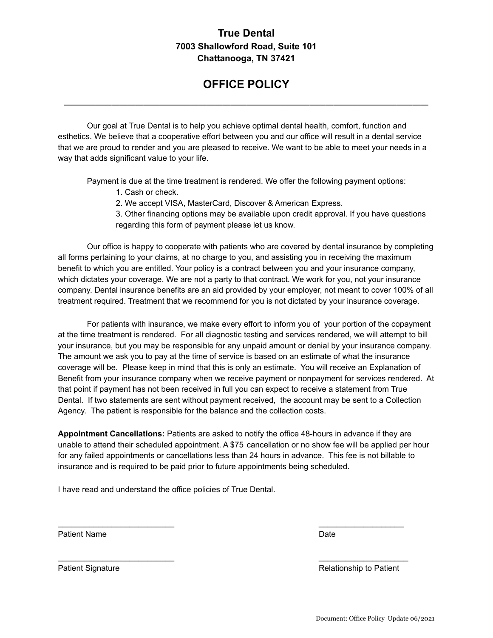#### **True Dental 7003 Shallowford Road, Suite 101 Chattanooga, TN 37421**

# **OFFICE POLICY**

**\_\_\_\_\_\_\_\_\_\_\_\_\_\_\_\_\_\_\_\_\_\_\_\_\_\_\_\_\_\_\_\_\_\_\_\_\_\_\_\_\_\_\_\_\_\_**

Our goal at True Dental is to help you achieve optimal dental health, comfort, function and esthetics. We believe that a cooperative effort between you and our office will result in a dental service that we are proud to render and you are pleased to receive. We want to be able to meet your needs in a way that adds significant value to your life.

Payment is due at the time treatment is rendered. We offer the following payment options:

- 1. Cash or check.
- 2. We accept VISA, MasterCard, Discover & American Express.
- 3. Other financing options may be available upon credit approval. If you have questions regarding this form of payment please let us know.

Our office is happy to cooperate with patients who are covered by dental insurance by completing all forms pertaining to your claims, at no charge to you, and assisting you in receiving the maximum benefit to which you are entitled. Your policy is a contract between you and your insurance company, which dictates your coverage. We are not a party to that contract. We work for you, not your insurance company. Dental insurance benefits are an aid provided by your employer, not meant to cover 100% of all treatment required. Treatment that we recommend for you is not dictated by your insurance coverage.

For patients with insurance, we make every effort to inform you of your portion of the copayment at the time treatment is rendered. For all diagnostic testing and services rendered, we will attempt to bill your insurance, but you may be responsible for any unpaid amount or denial by your insurance company. The amount we ask you to pay at the time of service is based on an estimate of what the insurance coverage will be. Please keep in mind that this is only an estimate. You will receive an Explanation of Benefit from your insurance company when we receive payment or nonpayment for services rendered. At that point if payment has not been received in full you can expect to receive a statement from True Dental. If two statements are sent without payment received, the account may be sent to a Collection Agency. The patient is responsible for the balance and the collection costs.

**Appointment Cancellations:** Patients are asked to notify the office 48-hours in advance if they are unable to attend their scheduled appointment. A \$75 cancellation or no show fee will be applied per hour for any failed appointments or cancellations less than 24 hours in advance. This fee is not billable to insurance and is required to be paid prior to future appointments being scheduled.

 $\mathcal{L}_\text{max}$  , and the contribution of the contribution of the contribution of the contribution of the contribution of the contribution of the contribution of the contribution of the contribution of the contribution of t

 $\mathcal{L}_\text{max}$  , and the contribution of the contribution of the contribution of the contribution of the contribution of the contribution of the contribution of the contribution of the contribution of the contribution of t

I have read and understand the office policies of True Dental.

Patient Name **Date** 

Patient Signature **Patient Signature Relationship to Patient** 

Document: Office Policy Update 06/2021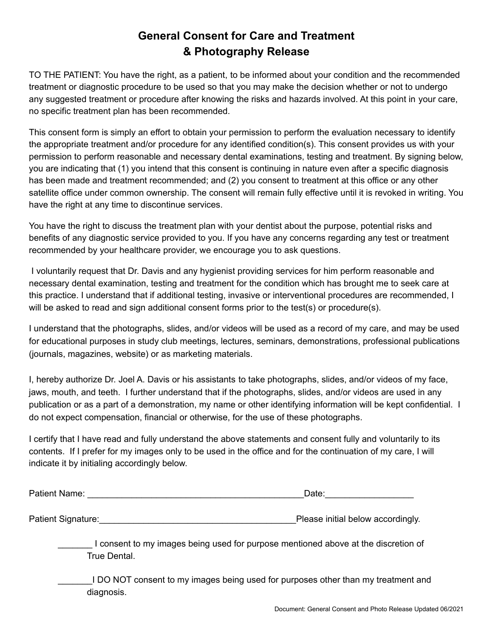# **General Consent for Care and Treatment & Photography Release**

TO THE PATIENT: You have the right, as a patient, to be informed about your condition and the recommended treatment or diagnostic procedure to be used so that you may make the decision whether or not to undergo any suggested treatment or procedure after knowing the risks and hazards involved. At this point in your care, no specific treatment plan has been recommended.

This consent form is simply an effort to obtain your permission to perform the evaluation necessary to identify the appropriate treatment and/or procedure for any identified condition(s). This consent provides us with your permission to perform reasonable and necessary dental examinations, testing and treatment. By signing below, you are indicating that (1) you intend that this consent is continuing in nature even after a specific diagnosis has been made and treatment recommended; and (2) you consent to treatment at this office or any other satellite office under common ownership. The consent will remain fully effective until it is revoked in writing. You have the right at any time to discontinue services.

You have the right to discuss the treatment plan with your dentist about the purpose, potential risks and benefits of any diagnostic service provided to you. If you have any concerns regarding any test or treatment recommended by your healthcare provider, we encourage you to ask questions.

I voluntarily request that Dr. Davis and any hygienist providing services for him perform reasonable and necessary dental examination, testing and treatment for the condition which has brought me to seek care at this practice. I understand that if additional testing, invasive or interventional procedures are recommended, I will be asked to read and sign additional consent forms prior to the test(s) or procedure(s).

I understand that the photographs, slides, and/or videos will be used as a record of my care, and may be used for educational purposes in study club meetings, lectures, seminars, demonstrations, professional publications (journals, magazines, website) or as marketing materials.

I, hereby authorize Dr. Joel A. Davis or his assistants to take photographs, slides, and/or videos of my face, jaws, mouth, and teeth. I further understand that if the photographs, slides, and/or videos are used in any publication or as a part of a demonstration, my name or other identifying information will be kept confidential. I do not expect compensation, financial or otherwise, for the use of these photographs.

I certify that I have read and fully understand the above statements and consent fully and voluntarily to its contents. If I prefer for my images only to be used in the office and for the continuation of my care, I will indicate it by initialing accordingly below.

| Patient Name:      | Date:                             |  |  |
|--------------------|-----------------------------------|--|--|
|                    |                                   |  |  |
| Patient Signature: | Please initial below accordingly. |  |  |

\_\_\_\_\_\_\_ I consent to my images being used for purpose mentioned above at the discretion of True Dental.

\_\_\_\_\_\_\_I DO NOT consent to my images being used for purposes other than my treatment and diagnosis.